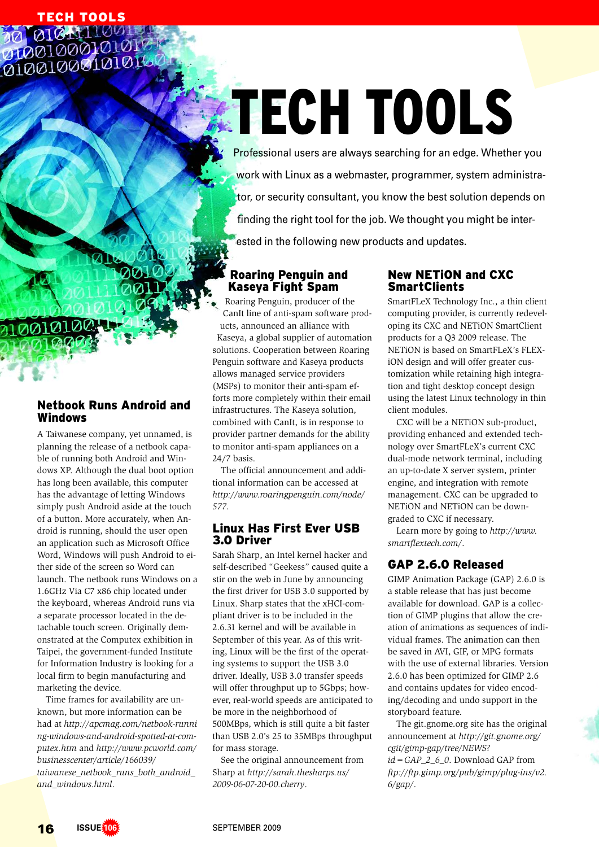**TECH TOOLS**<br>MOLOW 0010001010 01001000101010

# **ECH TOOLS**

Professional users are always searching for an edge. Whether you work with Linux as a webmaster, programmer, system administrator, or security consultant, you know the best solution depends on finding the right tool for the job. We thought you might be interested in the following new products and updates.

### Roaring Penguin and Kaseya Fight Spam

Roaring Penguin, producer of the CanIt line of anti-spam software products, announced an alliance with Kaseya, a global supplier of automation solutions. Cooperation between Roaring Penguin software and Kaseya products allows managed service providers (MSPs) to monitor their anti-spam efforts more completely within their email infrastructures. The Kaseya solution, combined with CanIt, is in response to provider partner demands for the ability to monitor anti-spam appliances on a 24/7 basis.

The official announcement and additional information can be accessed at *http:// www. roaringpenguin. com/ node/ 577*.

### Linux Has First Ever USB 3.0 Driver

Sarah Sharp, an Intel kernel hacker and self-described "Geekess" caused quite a stir on the web in June by announcing the first driver for USB 3.0 supported by Linux. Sharp states that the xHCI-compliant driver is to be included in the 2.6.31 kernel and will be available in September of this year. As of this writing, Linux will be the first of the operating systems to support the USB 3.0 driver. Ideally, USB 3.0 transfer speeds will offer throughput up to 5Gbps; however, real-world speeds are anticipated to be more in the neighborhood of 500MBps, which is still quite a bit faster than USB 2.0's 25 to 35MBps throughput for mass storage.

See the original announcement from Sharp at *http:// sarah. thesharps. us/ 2009-06-07-20-00. cherry*.

## New NETiON and CXC **SmartClients**

SmartFLeX Technology Inc., a thin client computing provider, is currently redeveloping its CXC and NETiON SmartClient products for a Q3 2009 release. The NETiON is based on SmartFLeX's FLEXiON design and will offer greater customization while retaining high integration and tight desktop concept design using the latest Linux technology in thin client modules.

CXC will be a NETiON sub-product, providing enhanced and extended technology over SmartFLeX's current CXC dual-mode network terminal, including an up-to-date X server system, printer engine, and integration with remote management. CXC can be upgraded to NETiON and NETiON can be downgraded to CXC if necessary.

Learn more by going to *http:// www. smartflextech. com/*.

# GAP 2.6.0 Released

GIMP Animation Package (GAP) 2.6.0 is a stable release that has just become available for download. GAP is a collection of GIMP plugins that allow the creation of animations as sequences of individual frames. The animation can then be saved in AVI, GIF, or MPG formats with the use of external libraries. Version 2.6.0 has been optimized for GIMP 2.6 and contains updates for video encoding/ decoding and undo support in the storyboard feature.

The git.gnome.org site has the original announcement at *http:// git. gnome. org/ cgit/ gimp-gap/ tree/ NEWS? id=GAP\_2\_6\_0*. Download GAP from *ftp:// ftp. gimp. org/ pub/ gimp/ plug-ins/ v2. 6/ gap/*.

### Netbook Runs Android and Windows

A Taiwanese company, yet unnamed, is planning the release of a netbook capable of running both Android and Windows XP. Although the dual boot option has long been available, this computer has the advantage of letting Windows simply push Android aside at the touch of a button. More accurately, when Android is running, should the user open an application such as Microsoft Office Word, Windows will push Android to either side of the screen so Word can launch. The netbook runs Windows on a 1.6GHz Via C7 x86 chip located under the keyboard, whereas Android runs via a separate processor located in the detachable touch screen. Originally demonstrated at the Computex exhibition in Taipei, the government-funded Institute for Information Industry is looking for a local firm to begin manufacturing and marketing the device.

Time frames for availability are unknown, but more information can be had at *http:// apcmag. com/ netbook-runni ng-windows-and-android-spotted-at-computex. htm* and *http:// www. pcworld. com/ businesscenter/ article/ 166039/ taiwanese\_netbook\_runs\_both\_android\_ and\_windows. html*.